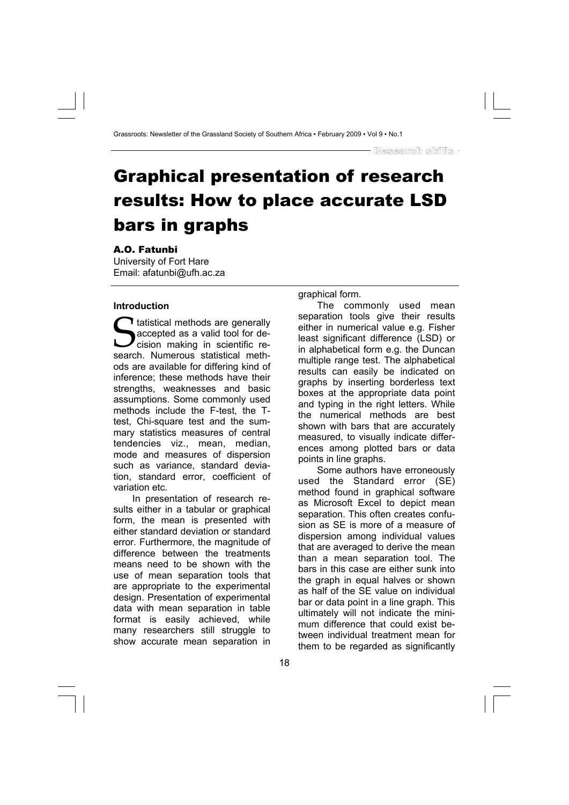# Graphical presentation of research results: How to place accurate LSD bars in graphs

# A.O. Fatunbi

University of Fort Hare Email: afatunbi@ufh.ac.za

## **Introduction**

s tatistical methods are generally<br>accepted as a valid tool for decision making in scientific research. Numerous statistical methods accepted as a valid tool for decision making in scientific research. Numerous statistical methods are available for differing kind of inference; these methods have their strengths, weaknesses and basic assumptions. Some commonly used methods include the F-test, the Ttest, Chi-square test and the summary statistics measures of central tendencies viz., mean, median, mode and measures of dispersion such as variance, standard deviation, standard error, coefficient of variation etc.

In presentation of research results either in a tabular or graphical form, the mean is presented with either standard deviation or standard error. Furthermore, the magnitude of difference between the treatments means need to be shown with the use of mean separation tools that are appropriate to the experimental design. Presentation of experimental data with mean separation in table format is easily achieved, while many researchers still struggle to show accurate mean separation in

graphical form.

The commonly used mean separation tools give their results either in numerical value e.g. Fisher least significant difference (LSD) or in alphabetical form e.g. the Duncan multiple range test. The alphabetical results can easily be indicated on graphs by inserting borderless text boxes at the appropriate data point and typing in the right letters. While the numerical methods are best shown with bars that are accurately measured, to visually indicate differences among plotted bars or data points in line graphs.

Some authors have erroneously used the Standard error (SE) method found in graphical software as Microsoft Excel to depict mean separation. This often creates confusion as SE is more of a measure of dispersion among individual values that are averaged to derive the mean than a mean separation tool. The bars in this case are either sunk into the graph in equal halves or shown as half of the SE value on individual bar or data point in a line graph. This ultimately will not indicate the minimum difference that could exist between individual treatment mean for them to be regarded as significantly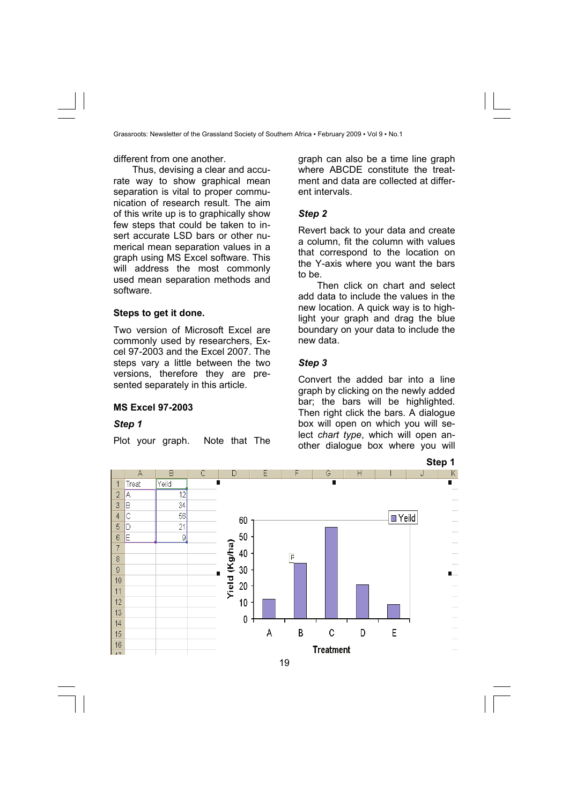different from one another.

Thus, devising a clear and accurate way to show graphical mean separation is vital to proper communication of research result. The aim of this write up is to graphically show few steps that could be taken to insert accurate LSD bars or other numerical mean separation values in a graph using MS Excel software. This will address the most commonly used mean separation methods and software.

## **Steps to get it done.**

Two version of Microsoft Excel are commonly used by researchers, Excel 97-2003 and the Excel 2007. The steps vary a little between the two versions, therefore they are presented separately in this article.

#### **MS Excel 97-2003**

#### *Step 1*

Plot your graph. Note that The

graph can also be a time line graph where ABCDE constitute the treatment and data are collected at different intervals.

#### *Step 2*

Revert back to your data and create a column, fit the column with values that correspond to the location on the Y-axis where you want the bars to be.

Then click on chart and select add data to include the values in the new location. A quick way is to highlight your graph and drag the blue boundary on your data to include the new data.

#### *Step 3*

Convert the added bar into a line graph by clicking on the newly added bar; the bars will be highlighted. Then right click the bars. A dialogue box will open on which you will select *chart type*, which will open another dialogue box where you will

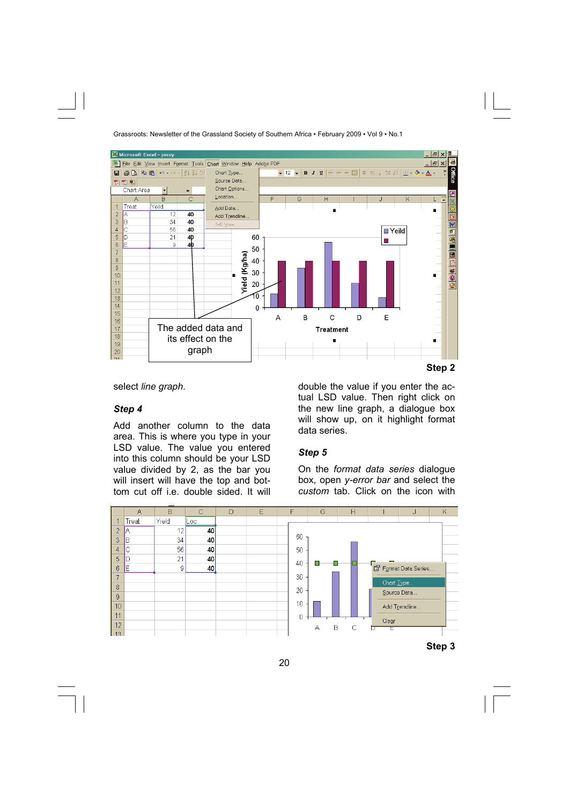

**Step 2** 

select *line graph*.

## *Step 4*

Add another column to the data area. This is where you type in your LSD value. The value you entered into this column should be your LSD value divided by 2, as the bar you will insert will have the top and bottom cut off i.e. double sided. It will

double the value if you enter the actual LSD value. Then right click on the new line graph, a dialogue box will show up, on it highlight format data series.

# *Step 5*

On the *format data series* dialogue box, open *y-error bar* and select the *custom* tab. Click on the icon with

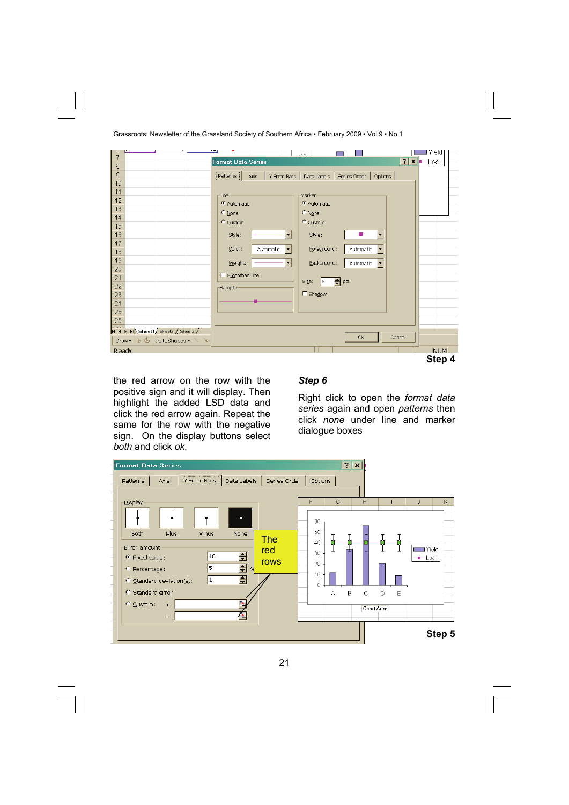| Grassroots: Newsletter of the Grassland Society of Southern Africa • February 2009 • Vol 9 • No.1 |  |
|---------------------------------------------------------------------------------------------------|--|
|---------------------------------------------------------------------------------------------------|--|

|                                   |                           | $\sim$                                              | ∎Yield     |
|-----------------------------------|---------------------------|-----------------------------------------------------|------------|
| 7                                 | <b>Format Data Series</b> |                                                     | $2x$ - Loc |
| 8                                 |                           |                                                     |            |
| 9                                 | Patterns  <br>Axis        | Y Error Bars   Data Labels   Series Order   Options |            |
| 10                                |                           |                                                     |            |
| 11                                |                           | Marker                                              |            |
| 12                                | Line <sup>.</sup>         |                                                     |            |
| 13                                | C Automatic               | C Automatic                                         |            |
| 14                                | C None                    | $\circ$ None                                        |            |
| 15                                | C Custom                  | C Custom                                            |            |
| 16                                | Style:                    | Style:<br>$\blacktriangledown$                      |            |
| 17                                |                           |                                                     |            |
|                                   | Color:<br>Automatic       | Eoreground:<br>Automatic                            |            |
| 18                                |                           |                                                     |            |
| 19                                | Weight:                   | Background:<br>Automatic<br>▼                       |            |
| 20                                | □ Smoothed line           |                                                     |            |
| 21                                |                           | $\frac{4}{5}$ pts<br>Size:<br>$\vert$ 5             |            |
| 22                                | <b>Sample</b>             |                                                     |            |
| 23                                |                           | E Shadow                                            |            |
| 24                                |                           |                                                     |            |
| 25                                |                           |                                                     |            |
| 26                                |                           |                                                     |            |
| II I I I Sheet1 Sheet2 / Sheet3 / |                           |                                                     |            |
| Draw • ※ 卷   AutoShapes • ヽ ヾ     |                           | OK                                                  | Cancel     |
|                                   |                           |                                                     |            |
| Ready                             |                           |                                                     | <b>NUM</b> |
|                                   |                           |                                                     | Step 4     |

the red arrow on the row with the positive sign and it will display. Then highlight the added LSD data and click the red arrow again. Repeat the same for the row with the negative sign. On the display buttons select *both* and click *ok.*

# *Step 6*

Right click to open the *format data series* again and open *patterns* then click *none* under line and marker dialogue boxes

| <b>Format Data Series</b><br>,,,,,,,,,,,,,,,,,,,,,,,,,,,,,,,,,,,,,<br>Data Labels   Series Order   Options  <br>Patterns<br>Y Error Bars<br>Axis                                                                                                                                                                            | $2$ $\times$                                                                                                                                          |
|-----------------------------------------------------------------------------------------------------------------------------------------------------------------------------------------------------------------------------------------------------------------------------------------------------------------------------|-------------------------------------------------------------------------------------------------------------------------------------------------------|
| <b>Display</b><br>п<br>Plus<br><b>Both</b><br>Minus<br>None<br><b>The</b><br>Error amount-<br>red<br>$\triangleq$<br>10<br>● Eixed value:<br>rows<br>$\overline{\div}$<br>ls.<br>$\frac{96}{2}$<br>C Percentage:<br>$\overline{\div}$<br>C Standard deviation(s):<br>1<br>C Standard error<br>$C$ Custom:<br>$+$<br>٦.<br>- | H<br>G<br>K<br>J<br>60<br>50<br>40<br>$\blacksquare$ Yield<br>30<br>$-$ Loc<br>20<br>10<br>n<br>$\mathsf{C}$<br>D<br>E<br>B<br>А<br><b>Chart Area</b> |
|                                                                                                                                                                                                                                                                                                                             | Step 5                                                                                                                                                |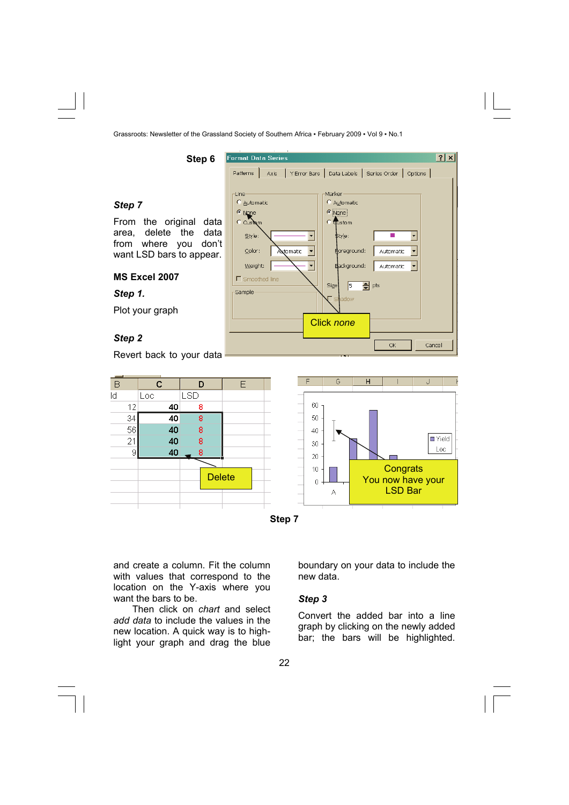**Format Data Series** 

C Automatic

C None

 $C$  Custom Style:

Color:

Weight:

 $\Gamma$  Smoothed line

Sample

Axis

**Patterns** 

l ine



From the original data area, delete the data from where you don't want LSD bars to appear.

**Step 6** 

# **MS Excel 2007**

*Step 1.* 

Plot your graph

## *Step 2*

Revert back to your data



Click *none*

**Size** 

Marker

 $\epsilon$  None C dustom

٠

 $\overline{\phantom{0}}$ 

 $\overline{\phantom{0}}$ 

Automatic

C Automatic

≴tvle∶

Poreground:

Background:

下

adow

 $\overline{\Leftrightarrow}$  pts

Y Error Bars Data Labels Series Order Options 1

п

Automatic

**Automatic** 

**OK** 

 $\overline{\phantom{0}}$ 

 $\overline{\phantom{0}}$ 

Cancel

 $|7x|$ 



and create a column. Fit the column with values that correspond to the location on the Y-axis where you want the bars to be.

Then click on *chart* and select *add data* to include the values in the new location. A quick way is to highlight your graph and drag the blue

boundary on your data to include the new data.

#### *Step 3*

Convert the added bar into a line graph by clicking on the newly added bar; the bars will be highlighted.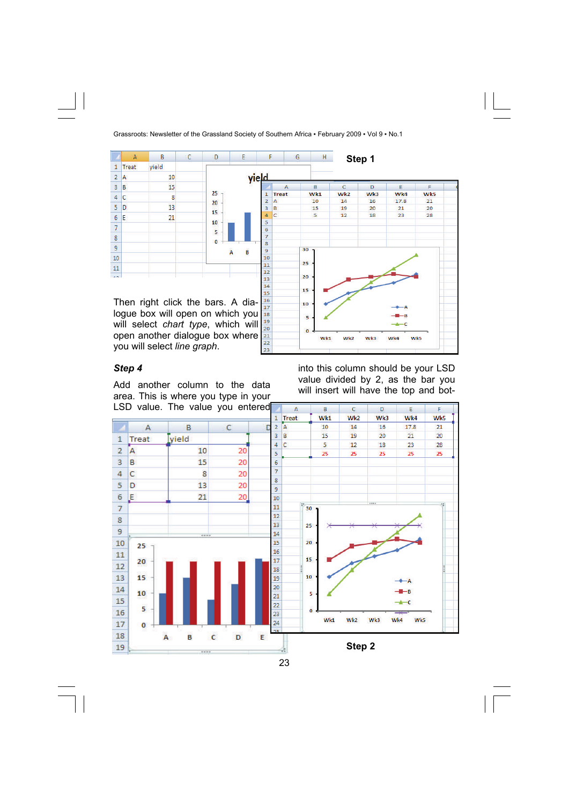

20

 $\overline{22}$ 23  $\mathbf{o}$ 

Wk1

Wk2

will select *chart type*, which will open another dialogue box where you will select *line graph*.

#### *Step 4*

Add another column to the data area. This is where you type in your LSD value. The value you entered into this column should be your LSD value divided by 2, as the bar you will insert will have the top and bot-

Wk3

Wk4

**Wk5** 



23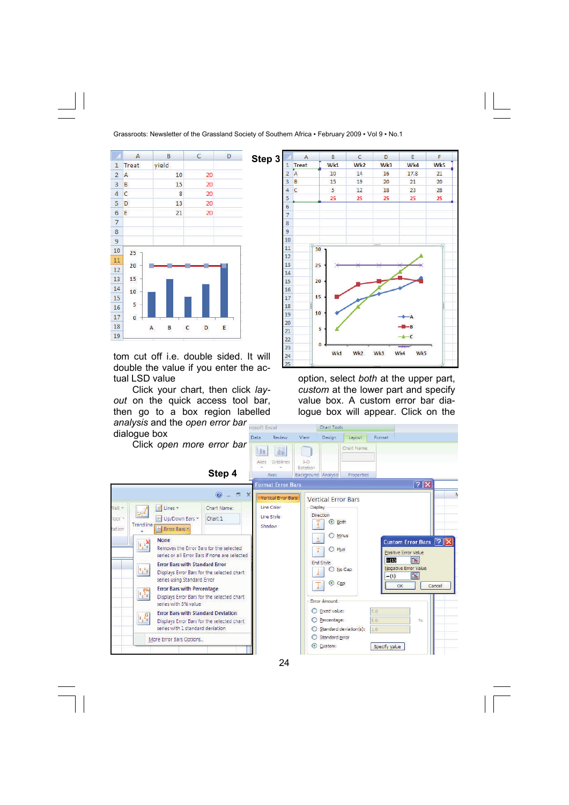

tom cut off i.e. double sided. It will double the value if you enter the actual LSD value

Click your chart, then click *layout* on the quick access tool bar, then go to a box region labelled *analysis* and the *open error bar* 



option, select *both* at the upper part, *custom* at the lower part and specify value box. A custom error bar dialogue box will appear. Click on the